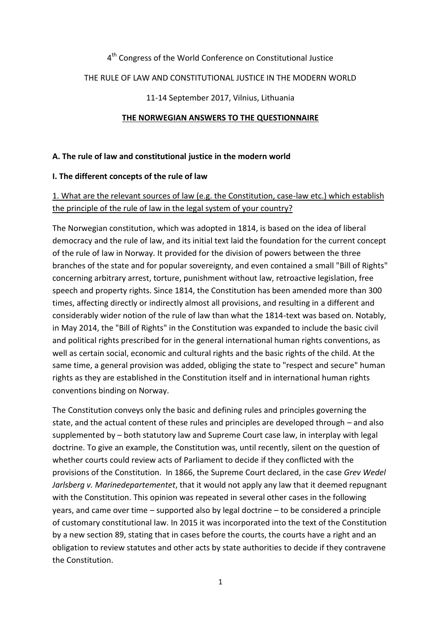### 4<sup>th</sup> Congress of the World Conference on Constitutional Justice

#### THE RULE OF LAW AND CONSTITUTIONAL JUSTICE IN THE MODERN WORLD

#### 11-14 September 2017, Vilnius, Lithuania

#### **THE NORWEGIAN ANSWERS TO THE QUESTIONNAIRE**

#### **A. The rule of law and constitutional justice in the modern world**

#### **I. The different concepts of the rule of law**

### 1. What are the relevant sources of law (e.g. the Constitution, case-law etc.) which establish the principle of the rule of law in the legal system of your country?

The Norwegian constitution, which was adopted in 1814, is based on the idea of liberal democracy and the rule of law, and its initial text laid the foundation for the current concept of the rule of law in Norway. It provided for the division of powers between the three branches of the state and for popular sovereignty, and even contained a small "Bill of Rights" concerning arbitrary arrest, torture, punishment without law, retroactive legislation, free speech and property rights. Since 1814, the Constitution has been amended more than 300 times, affecting directly or indirectly almost all provisions, and resulting in a different and considerably wider notion of the rule of law than what the 1814-text was based on. Notably, in May 2014, the "Bill of Rights" in the Constitution was expanded to include the basic civil and political rights prescribed for in the general international human rights conventions, as well as certain social, economic and cultural rights and the basic rights of the child. At the same time, a general provision was added, obliging the state to "respect and secure" human rights as they are established in the Constitution itself and in international human rights conventions binding on Norway.

The Constitution conveys only the basic and defining rules and principles governing the state, and the actual content of these rules and principles are developed through – and also supplemented by – both statutory law and Supreme Court case law, in interplay with legal doctrine. To give an example, the Constitution was, until recently, silent on the question of whether courts could review acts of Parliament to decide if they conflicted with the provisions of the Constitution. In 1866, the Supreme Court declared, in the case *Grev Wedel Jarlsberg v. Marinedepartementet*, that it would not apply any law that it deemed repugnant with the Constitution. This opinion was repeated in several other cases in the following years, and came over time – supported also by legal doctrine – to be considered a principle of customary constitutional law. In 2015 it was incorporated into the text of the Constitution by a new section 89, stating that in cases before the courts, the courts have a right and an obligation to review statutes and other acts by state authorities to decide if they contravene the Constitution.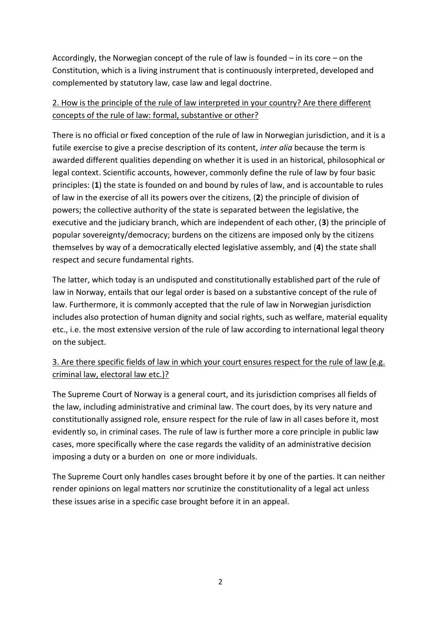Accordingly, the Norwegian concept of the rule of law is founded – in its core – on the Constitution, which is a living instrument that is continuously interpreted, developed and complemented by statutory law, case law and legal doctrine.

## 2. How is the principle of the rule of law interpreted in your country? Are there different concepts of the rule of law: formal, substantive or other?

There is no official or fixed conception of the rule of law in Norwegian jurisdiction, and it is a futile exercise to give a precise description of its content, *inter alia* because the term is awarded different qualities depending on whether it is used in an historical, philosophical or legal context. Scientific accounts, however, commonly define the rule of law by four basic principles: (**1**) the state is founded on and bound by rules of law, and is accountable to rules of law in the exercise of all its powers over the citizens, (**2**) the principle of division of powers; the collective authority of the state is separated between the legislative, the executive and the judiciary branch, which are independent of each other, (**3**) the principle of popular sovereignty/democracy; burdens on the citizens are imposed only by the citizens themselves by way of a democratically elected legislative assembly, and (**4**) the state shall respect and secure fundamental rights.

The latter, which today is an undisputed and constitutionally established part of the rule of law in Norway, entails that our legal order is based on a substantive concept of the rule of law. Furthermore, it is commonly accepted that the rule of law in Norwegian jurisdiction includes also protection of human dignity and social rights, such as welfare, material equality etc., i.e. the most extensive version of the rule of law according to international legal theory on the subject.

# 3. Are there specific fields of law in which your court ensures respect for the rule of law (e.g. criminal law, electoral law etc.)?

The Supreme Court of Norway is a general court, and its jurisdiction comprises all fields of the law, including administrative and criminal law. The court does, by its very nature and constitutionally assigned role, ensure respect for the rule of law in all cases before it, most evidently so, in criminal cases. The rule of law is further more a core principle in public law cases, more specifically where the case regards the validity of an administrative decision imposing a duty or a burden on one or more individuals.

The Supreme Court only handles cases brought before it by one of the parties. It can neither render opinions on legal matters nor scrutinize the constitutionality of a legal act unless these issues arise in a specific case brought before it in an appeal.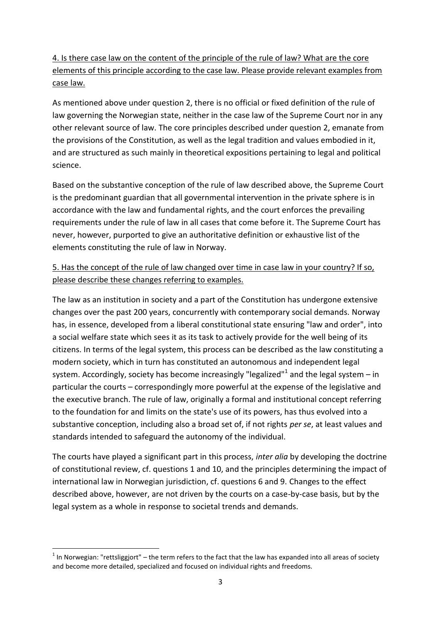4. Is there case law on the content of the principle of the rule of law? What are the core elements of this principle according to the case law. Please provide relevant examples from case law.

As mentioned above under question 2, there is no official or fixed definition of the rule of law governing the Norwegian state, neither in the case law of the Supreme Court nor in any other relevant source of law. The core principles described under question 2, emanate from the provisions of the Constitution, as well as the legal tradition and values embodied in it, and are structured as such mainly in theoretical expositions pertaining to legal and political science.

Based on the substantive conception of the rule of law described above, the Supreme Court is the predominant guardian that all governmental intervention in the private sphere is in accordance with the law and fundamental rights, and the court enforces the prevailing requirements under the rule of law in all cases that come before it. The Supreme Court has never, however, purported to give an authoritative definition or exhaustive list of the elements constituting the rule of law in Norway.

## 5. Has the concept of the rule of law changed over time in case law in your country? If so, please describe these changes referring to examples.

The law as an institution in society and a part of the Constitution has undergone extensive changes over the past 200 years, concurrently with contemporary social demands. Norway has, in essence, developed from a liberal constitutional state ensuring "law and order", into a social welfare state which sees it as its task to actively provide for the well being of its citizens. In terms of the legal system, this process can be described as the law constituting a modern society, which in turn has constituted an autonomous and independent legal system. Accordingly, society has become increasingly "legalized"<sup>1</sup> and the legal system – in particular the courts – correspondingly more powerful at the expense of the legislative and the executive branch. The rule of law, originally a formal and institutional concept referring to the foundation for and limits on the state's use of its powers, has thus evolved into a substantive conception, including also a broad set of, if not rights *per se*, at least values and standards intended to safeguard the autonomy of the individual.

The courts have played a significant part in this process, *inter alia* by developing the doctrine of constitutional review, cf. questions 1 and 10, and the principles determining the impact of international law in Norwegian jurisdiction, cf. questions 6 and 9. Changes to the effect described above, however, are not driven by the courts on a case-by-case basis, but by the legal system as a whole in response to societal trends and demands.

1

 $1$  In Norwegian: "rettsliggjort" – the term refers to the fact that the law has expanded into all areas of society and become more detailed, specialized and focused on individual rights and freedoms.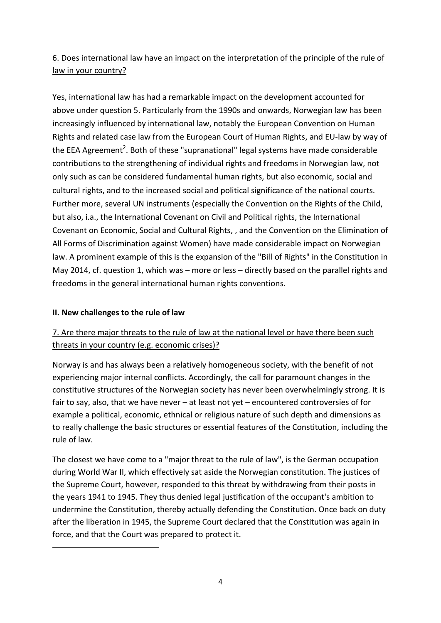# 6. Does international law have an impact on the interpretation of the principle of the rule of law in your country?

Yes, international law has had a remarkable impact on the development accounted for above under question 5. Particularly from the 1990s and onwards, Norwegian law has been increasingly influenced by international law, notably the European Convention on Human Rights and related case law from the European Court of Human Rights, and EU-law by way of the EEA Agreement<sup>2</sup>. Both of these "supranational" legal systems have made considerable contributions to the strengthening of individual rights and freedoms in Norwegian law, not only such as can be considered fundamental human rights, but also economic, social and cultural rights, and to the increased social and political significance of the national courts. Further more, several UN instruments (especially the Convention on the Rights of the Child, but also, i.a., the International Covenant on Civil and Political rights, the International Covenant on Economic, Social and Cultural Rights, , and the Convention on the Elimination of All Forms of Discrimination against Women) have made considerable impact on Norwegian law. A prominent example of this is the expansion of the "Bill of Rights" in the Constitution in May 2014, cf. question 1, which was – more or less – directly based on the parallel rights and freedoms in the general international human rights conventions.

### **II. New challenges to the rule of law**

**.** 

# 7. Are there major threats to the rule of law at the national level or have there been such threats in your country (e.g. economic crises)?

Norway is and has always been a relatively homogeneous society, with the benefit of not experiencing major internal conflicts. Accordingly, the call for paramount changes in the constitutive structures of the Norwegian society has never been overwhelmingly strong. It is fair to say, also, that we have never – at least not yet – encountered controversies of for example a political, economic, ethnical or religious nature of such depth and dimensions as to really challenge the basic structures or essential features of the Constitution, including the rule of law.

The closest we have come to a "major threat to the rule of law", is the German occupation during World War II, which effectively sat aside the Norwegian constitution. The justices of the Supreme Court, however, responded to this threat by withdrawing from their posts in the years 1941 to 1945. They thus denied legal justification of the occupant's ambition to undermine the Constitution, thereby actually defending the Constitution. Once back on duty after the liberation in 1945, the Supreme Court declared that the Constitution was again in force, and that the Court was prepared to protect it.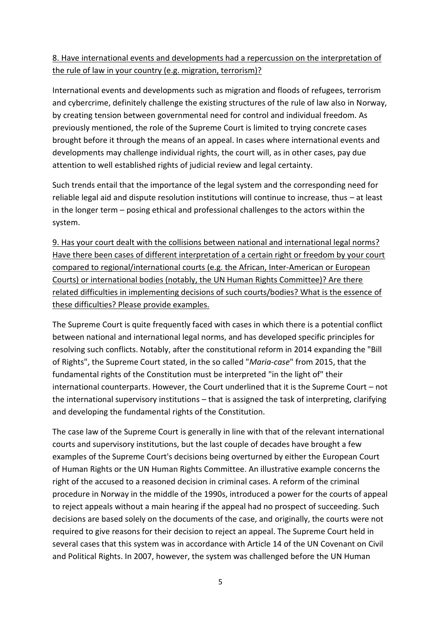### 8. Have international events and developments had a repercussion on the interpretation of the rule of law in your country (e.g. migration, terrorism)?

International events and developments such as migration and floods of refugees, terrorism and cybercrime, definitely challenge the existing structures of the rule of law also in Norway, by creating tension between governmental need for control and individual freedom. As previously mentioned, the role of the Supreme Court is limited to trying concrete cases brought before it through the means of an appeal. In cases where international events and developments may challenge individual rights, the court will, as in other cases, pay due attention to well established rights of judicial review and legal certainty.

Such trends entail that the importance of the legal system and the corresponding need for reliable legal aid and dispute resolution institutions will continue to increase, thus – at least in the longer term – posing ethical and professional challenges to the actors within the system.

9. Has your court dealt with the collisions between national and international legal norms? Have there been cases of different interpretation of a certain right or freedom by your court compared to regional/international courts (e.g. the African, Inter-American or European Courts) or international bodies (notably, the UN Human Rights Committee)? Are there related difficulties in implementing decisions of such courts/bodies? What is the essence of these difficulties? Please provide examples.

The Supreme Court is quite frequently faced with cases in which there is a potential conflict between national and international legal norms, and has developed specific principles for resolving such conflicts. Notably, after the constitutional reform in 2014 expanding the "Bill of Rights", the Supreme Court stated, in the so called "*Maria-case*" from 2015, that the fundamental rights of the Constitution must be interpreted "in the light of" their international counterparts. However, the Court underlined that it is the Supreme Court – not the international supervisory institutions – that is assigned the task of interpreting, clarifying and developing the fundamental rights of the Constitution.

The case law of the Supreme Court is generally in line with that of the relevant international courts and supervisory institutions, but the last couple of decades have brought a few examples of the Supreme Court's decisions being overturned by either the European Court of Human Rights or the UN Human Rights Committee. An illustrative example concerns the right of the accused to a reasoned decision in criminal cases. A reform of the criminal procedure in Norway in the middle of the 1990s, introduced a power for the courts of appeal to reject appeals without a main hearing if the appeal had no prospect of succeeding. Such decisions are based solely on the documents of the case, and originally, the courts were not required to give reasons for their decision to reject an appeal. The Supreme Court held in several cases that this system was in accordance with Article 14 of the UN Covenant on Civil and Political Rights. In 2007, however, the system was challenged before the UN Human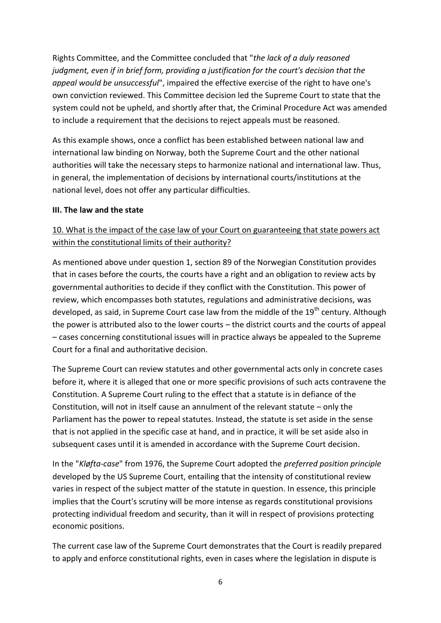Rights Committee, and the Committee concluded that "*the lack of a duly reasoned judgment, even if in brief form, providing a justification for the court's decision that the appeal would be unsuccessful*", impaired the effective exercise of the right to have one's own conviction reviewed. This Committee decision led the Supreme Court to state that the system could not be upheld, and shortly after that, the Criminal Procedure Act was amended to include a requirement that the decisions to reject appeals must be reasoned.

As this example shows, once a conflict has been established between national law and international law binding on Norway, both the Supreme Court and the other national authorities will take the necessary steps to harmonize national and international law. Thus, in general, the implementation of decisions by international courts/institutions at the national level, does not offer any particular difficulties.

#### **III. The law and the state**

## 10. What is the impact of the case law of your Court on guaranteeing that state powers act within the constitutional limits of their authority?

As mentioned above under question 1, section 89 of the Norwegian Constitution provides that in cases before the courts, the courts have a right and an obligation to review acts by governmental authorities to decide if they conflict with the Constitution. This power of review, which encompasses both statutes, regulations and administrative decisions, was developed, as said, in Supreme Court case law from the middle of the 19<sup>th</sup> century. Although the power is attributed also to the lower courts – the district courts and the courts of appeal – cases concerning constitutional issues will in practice always be appealed to the Supreme Court for a final and authoritative decision.

The Supreme Court can review statutes and other governmental acts only in concrete cases before it, where it is alleged that one or more specific provisions of such acts contravene the Constitution. A Supreme Court ruling to the effect that a statute is in defiance of the Constitution, will not in itself cause an annulment of the relevant statute – only the Parliament has the power to repeal statutes. Instead, the statute is set aside in the sense that is not applied in the specific case at hand, and in practice, it will be set aside also in subsequent cases until it is amended in accordance with the Supreme Court decision.

In the "*Kløfta-case*" from 1976, the Supreme Court adopted the *preferred position principle* developed by the US Supreme Court, entailing that the intensity of constitutional review varies in respect of the subject matter of the statute in question. In essence, this principle implies that the Court's scrutiny will be more intense as regards constitutional provisions protecting individual freedom and security, than it will in respect of provisions protecting economic positions.

The current case law of the Supreme Court demonstrates that the Court is readily prepared to apply and enforce constitutional rights, even in cases where the legislation in dispute is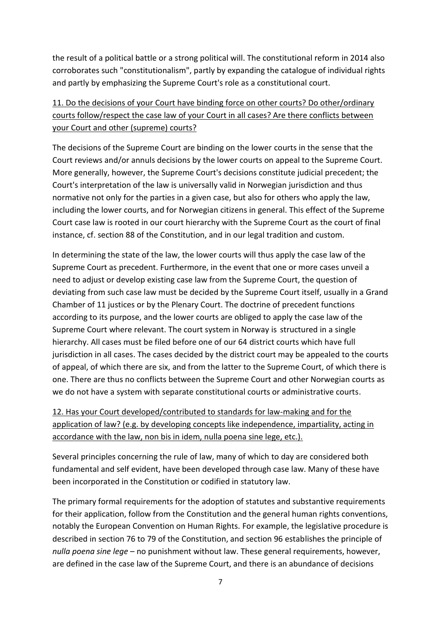the result of a political battle or a strong political will. The constitutional reform in 2014 also corroborates such "constitutionalism", partly by expanding the catalogue of individual rights and partly by emphasizing the Supreme Court's role as a constitutional court.

# 11. Do the decisions of your Court have binding force on other courts? Do other/ordinary courts follow/respect the case law of your Court in all cases? Are there conflicts between your Court and other (supreme) courts?

The decisions of the Supreme Court are binding on the lower courts in the sense that the Court reviews and/or annuls decisions by the lower courts on appeal to the Supreme Court. More generally, however, the Supreme Court's decisions constitute judicial precedent; the Court's interpretation of the law is universally valid in Norwegian jurisdiction and thus normative not only for the parties in a given case, but also for others who apply the law, including the lower courts, and for Norwegian citizens in general. This effect of the Supreme Court case law is rooted in our court hierarchy with the Supreme Court as the court of final instance, cf. section 88 of the Constitution, and in our legal tradition and custom.

In determining the state of the law, the lower courts will thus apply the case law of the Supreme Court as precedent. Furthermore, in the event that one or more cases unveil a need to adjust or develop existing case law from the Supreme Court, the question of deviating from such case law must be decided by the Supreme Court itself, usually in a Grand Chamber of 11 justices or by the Plenary Court. The doctrine of precedent functions according to its purpose, and the lower courts are obliged to apply the case law of the Supreme Court where relevant. The court system in Norway is structured in a single hierarchy. All cases must be filed before one of our 64 district courts which have full jurisdiction in all cases. The cases decided by the district court may be appealed to the courts of appeal, of which there are six, and from the latter to the Supreme Court, of which there is one. There are thus no conflicts between the Supreme Court and other Norwegian courts as we do not have a system with separate constitutional courts or administrative courts.

# 12. Has your Court developed/contributed to standards for law-making and for the application of law? (e.g. by developing concepts like independence, impartiality, acting in accordance with the law, non bis in idem, nulla poena sine lege, etc.).

Several principles concerning the rule of law, many of which to day are considered both fundamental and self evident, have been developed through case law. Many of these have been incorporated in the Constitution or codified in statutory law.

The primary formal requirements for the adoption of statutes and substantive requirements for their application, follow from the Constitution and the general human rights conventions, notably the European Convention on Human Rights. For example, the legislative procedure is described in section 76 to 79 of the Constitution, and section 96 establishes the principle of *nulla poena sine lege* – no punishment without law. These general requirements, however, are defined in the case law of the Supreme Court, and there is an abundance of decisions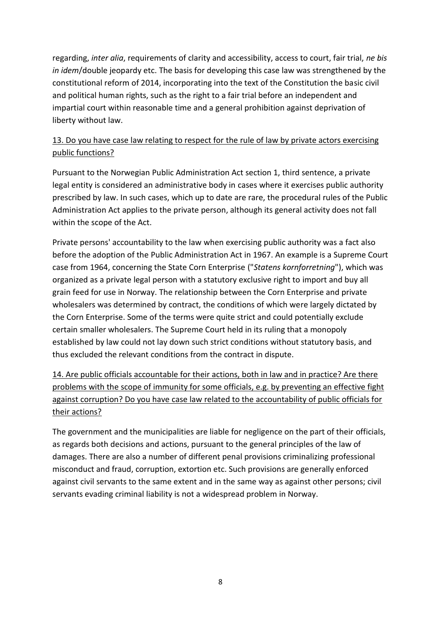regarding, *inter alia*, requirements of clarity and accessibility, access to court, fair trial, *ne bis in idem*/double jeopardy etc. The basis for developing this case law was strengthened by the constitutional reform of 2014, incorporating into the text of the Constitution the basic civil and political human rights, such as the right to a fair trial before an independent and impartial court within reasonable time and a general prohibition against deprivation of liberty without law.

## 13. Do you have case law relating to respect for the rule of law by private actors exercising public functions?

Pursuant to the Norwegian Public Administration Act section 1, third sentence, a private legal entity is considered an administrative body in cases where it exercises public authority prescribed by law. In such cases, which up to date are rare, the procedural rules of the Public Administration Act applies to the private person, although its general activity does not fall within the scope of the Act.

Private persons' accountability to the law when exercising public authority was a fact also before the adoption of the Public Administration Act in 1967. An example is a Supreme Court case from 1964, concerning the State Corn Enterprise ("*Statens kornforretning*"), which was organized as a private legal person with a statutory exclusive right to import and buy all grain feed for use in Norway. The relationship between the Corn Enterprise and private wholesalers was determined by contract, the conditions of which were largely dictated by the Corn Enterprise. Some of the terms were quite strict and could potentially exclude certain smaller wholesalers. The Supreme Court held in its ruling that a monopoly established by law could not lay down such strict conditions without statutory basis, and thus excluded the relevant conditions from the contract in dispute.

14. Are public officials accountable for their actions, both in law and in practice? Are there problems with the scope of immunity for some officials, e.g. by preventing an effective fight against corruption? Do you have case law related to the accountability of public officials for their actions?

The government and the municipalities are liable for negligence on the part of their officials, as regards both decisions and actions, pursuant to the general principles of the law of damages. There are also a number of different penal provisions criminalizing professional misconduct and fraud, corruption, extortion etc. Such provisions are generally enforced against civil servants to the same extent and in the same way as against other persons; civil servants evading criminal liability is not a widespread problem in Norway.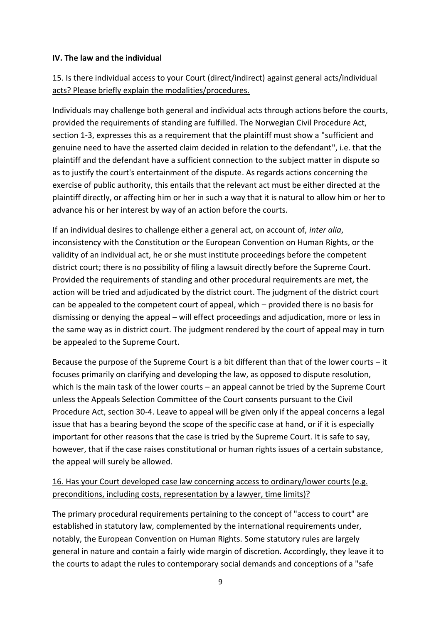#### **IV. The law and the individual**

## 15. Is there individual access to your Court (direct/indirect) against general acts/individual acts? Please briefly explain the modalities/procedures.

Individuals may challenge both general and individual acts through actions before the courts, provided the requirements of standing are fulfilled. The Norwegian Civil Procedure Act, section 1-3, expresses this as a requirement that the plaintiff must show a "sufficient and genuine need to have the asserted claim decided in relation to the defendant", i.e. that the plaintiff and the defendant have a sufficient connection to the subject matter in dispute so as to justify the court's entertainment of the dispute. As regards actions concerning the exercise of public authority, this entails that the relevant act must be either directed at the plaintiff directly, or affecting him or her in such a way that it is natural to allow him or her to advance his or her interest by way of an action before the courts.

If an individual desires to challenge either a general act, on account of, *inter alia*, inconsistency with the Constitution or the European Convention on Human Rights, or the validity of an individual act, he or she must institute proceedings before the competent district court; there is no possibility of filing a lawsuit directly before the Supreme Court. Provided the requirements of standing and other procedural requirements are met, the action will be tried and adjudicated by the district court. The judgment of the district court can be appealed to the competent court of appeal, which – provided there is no basis for dismissing or denying the appeal – will effect proceedings and adjudication, more or less in the same way as in district court. The judgment rendered by the court of appeal may in turn be appealed to the Supreme Court.

Because the purpose of the Supreme Court is a bit different than that of the lower courts – it focuses primarily on clarifying and developing the law, as opposed to dispute resolution, which is the main task of the lower courts – an appeal cannot be tried by the Supreme Court unless the Appeals Selection Committee of the Court consents pursuant to the Civil Procedure Act, section 30-4. Leave to appeal will be given only if the appeal concerns a legal issue that has a bearing beyond the scope of the specific case at hand, or if it is especially important for other reasons that the case is tried by the Supreme Court. It is safe to say, however, that if the case raises constitutional or human rights issues of a certain substance, the appeal will surely be allowed.

## 16. Has your Court developed case law concerning access to ordinary/lower courts (e.g. preconditions, including costs, representation by a lawyer, time limits)?

The primary procedural requirements pertaining to the concept of "access to court" are established in statutory law, complemented by the international requirements under, notably, the European Convention on Human Rights. Some statutory rules are largely general in nature and contain a fairly wide margin of discretion. Accordingly, they leave it to the courts to adapt the rules to contemporary social demands and conceptions of a "safe